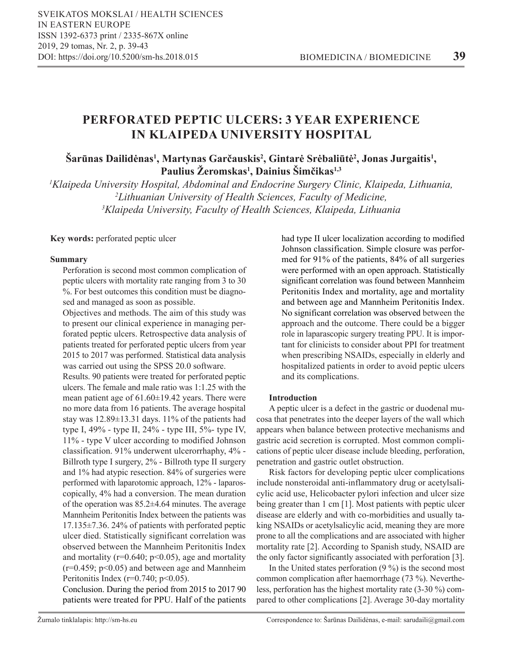# **PERFORATED PEPTIC ULCERS: 3 YEAR EXPERIENCE IN KLAIPEDA UNIVERSITY HOSPITAL**

# $\mathbf{S}$ arūnas Dailidėnas<sup>1</sup>, Martynas Garčauskis<sup>2</sup>, Gintarė Srėbaliūtė<sup>2</sup>, Jonas Jurgaitis<sup>1</sup>, **Paulius Žeromskas<sup>1</sup> , Dainius Šimčikas1,3**

*1 Klaipeda University Hospital, Abdominal and Endocrine Surgery Clinic, Klaipeda, Lithuania, 2 Lithuanian University of Health Sciences, Faculty of Medicine, 3 Klaipeda University, Faculty of Health Sciences, Klaipeda, Lithuania*

**Key words:** perforated peptic ulcer

### **Summary**

Perforation is second most common complication of peptic ulcers with mortality rate ranging from 3 to 30 %. For best outcomes this condition must be diagnosed and managed as soon as possible.

Objectives and methods. The aim of this study was to present our clinical experience in managing perforated peptic ulcers. Retrospective data analysis of patients treated for perforated peptic ulcers from year 2015 to 2017 was performed. Statistical data analysis was carried out using the SPSS 20.0 software.

Results. 90 patients were treated for perforated peptic ulcers. The female and male ratio was 1:1.25 with the mean patient age of  $61.60 \pm 19.42$  years. There were no more data from 16 patients. The average hospital stay was 12.89±13.31 days. 11% of the patients had type I, 49% - type II, 24% - type III, 5%- type IV, 11% - type V ulcer according to modified Johnson classification. 91% underwent ulcerorrhaphy, 4% - Billroth type I surgery, 2% - Billroth type II surgery and 1% had atypic resection. 84% of surgeries were performed with laparotomic approach, 12% - laparoscopically, 4% had a conversion. The mean duration of the operation was 85.2±4.64 minutes. The average Mannheim Peritonitis Index between the patients was 17.135±7.36. 24% of patients with perforated peptic ulcer died. Statistically significant correlation was observed between the Mannheim Peritonitis Index and mortality ( $r=0.640$ ;  $p<0.05$ ), age and mortality  $(r=0.459; p<0.05)$  and between age and Mannheim Peritonitis Index ( $r=0.740$ ;  $p<0.05$ ).

Conclusion. During the period from 2015 to 2017 90 patients were treated for PPU. Half of the patients

had type II ulcer localization according to modified Johnson classification. Simple closure was performed for 91% of the patients, 84% of all surgeries were performed with an open approach. Statistically significant correlation was found between Mannheim Peritonitis Index and mortality, age and mortality and between age and Mannheim Peritonitis Index. No significant correlation was observed between the approach and the outcome. There could be a bigger role in laparascopic surgery treating PPU. It is important for clinicists to consider about PPI for treatment when prescribing NSAIDs, especially in elderly and hospitalized patients in order to avoid peptic ulcers and its complications.

## **Introduction**

A peptic ulcer is a defect in the gastric or duodenal mucosa that penetrates into the deeper layers of the wall which appears when balance between protective mechanisms and gastric acid secretion is corrupted. Most common complications of peptic ulcer disease include bleeding, perforation, penetration and gastric outlet obstruction.

Risk factors for developing peptic ulcer complications include nonsteroidal anti-inflammatory drug or acetylsalicylic acid use, Helicobacter pylori infection and ulcer size being greater than 1 cm [1]. Most patients with peptic ulcer disease are elderly and with co-morbidities and usually taking NSAIDs or acetylsalicylic acid, meaning they are more prone to all the complications and are associated with higher mortality rate [2]. According to Spanish study, NSAID are the only factor significantly associated with perforation [3].

In the United states perforation (9 %) is the second most common complication after haemorrhage (73 %). Nevertheless, perforation has the highest mortality rate (3-30 %) compared to other complications [2]. Average 30-day mortality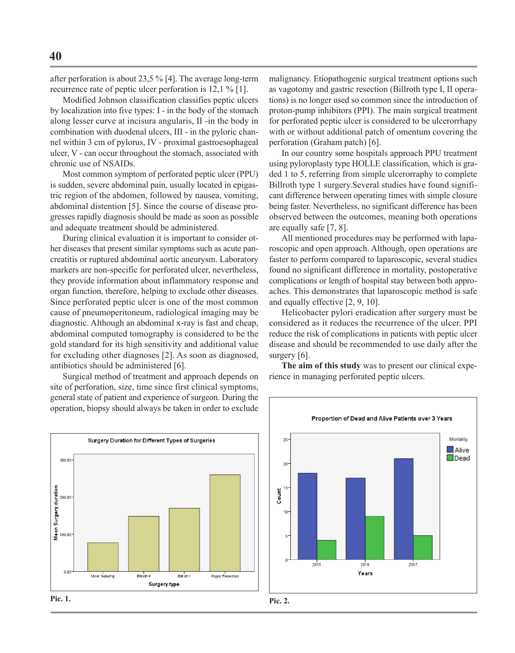after perforation is about 23,5 % [4]. The average long-term recurrence rate of peptic ulcer perforation is 12,1 % [1].

Modified Johnson classification classifies peptic ulcers by localization into five types: I - in the body of the stomach along lesser curve at incisura angularis, II -in the body in combination with duodenal ulcers, III - in the pyloric channel within 3 cm of pylorus, IV - proximal gastroesophageal ulcer, V - can occur throughout the stomach, associated with chronic use of NSAIDs.

Most common symptom of perforated peptic ulcer (PPU) is sudden, severe abdominal pain, usually located in epigastric region of the abdomen, followed by nausea, vomiting, abdominal distention [5]. Since the course of disease progresses rapidly diagnosis should be made as soon as possible and adequate treatment should be administered.

During clinical evaluation it is important to consider other diseases that present similar symptoms such as acute pancreatitis or ruptured abdominal aortic aneurysm. Laboratory markers are non-specific for perforated ulcer, nevertheless, they provide information about inflammatory response and organ function, therefore, helping to exclude other diseases. Since perforated peptic ulcer is one of the most common cause of pneumoperitoneum, radiological imaging may be diagnostic. Although an abdominal x-ray is fast and cheap, abdominal computed tomography is considered to be the gold standard for its high sensitivity and additional value for excluding other diagnoses [2]. As soon as diagnosed, antibiotics should be administered [6].

Surgical method of treatment and approach depends on site of perforation, size, time since first clinical symptoms, general state of patient and experience of surgeon. During the operation, biopsy should always be taken in order to exclude malignancy. Etiopathogenic surgical treatment options such as vagotomy and gastric resection (Billroth type I, II operations) is no longer used so common since the introduction of proton-pump inhibitors (PPI). The main surgical treatment for perforated peptic ulcer is considered to be ulcerorrhapy with or without additional patch of omentum covering the perforation (Graham patch) [6].

In our country some hospitals approach PPU treatment using pyloroplasty type HOLLE classification, which is graded 1 to 5, referring from simple ulcerorraphy to complete Billroth type 1 surgery.Several studies have found significant difference between operating times with simple closure being faster. Nevertheless, no significant difference has been observed between the outcomes, meaning both operations are equally safe [7, 8].

All mentioned procedures may be performed with laparoscopic and open approach. Although, open operations are faster to perform compared to laparoscopic, several studies found no significant difference in mortality, postoperative complications or length of hospital stay between both approaches. This demonstrates that laparoscopic method is safe and equally effective [2, 9, 10].

Helicobacter pylori eradication after surgery must be considered as it reduces the recurrence of the ulcer. PPI reduce the risk of complications in patients with peptic ulcer disease and should be recommended to use daily after the surgery [6].

**The aim of this study** was to present our clinical experience in managing perforated peptic ulcers.



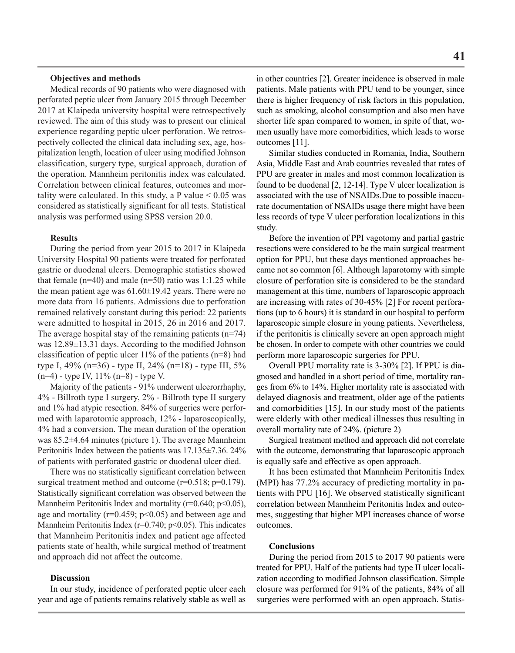#### **Objectives and methods**

Medical records of 90 patients who were diagnosed with perforated peptic ulcer from January 2015 through December 2017 at Klaipeda university hospital were retrospectively reviewed. The aim of this study was to present our clinical experience regarding peptic ulcer perforation. We retrospectively collected the clinical data including sex, age, hospitalization length, location of ulcer using modified Johnson classification, surgery type, surgical approach, duration of the operation. Mannheim peritonitis index was calculated. Correlation between clinical features, outcomes and mortality were calculated. In this study, a P value < 0.05 was considered as statistically significant for all tests. Statistical analysis was performed using SPSS version 20.0.

#### **Results**

During the period from year 2015 to 2017 in Klaipeda University Hospital 90 patients were treated for perforated gastric or duodenal ulcers. Demographic statistics showed that female  $(n=40)$  and male  $(n=50)$  ratio was 1:1.25 while the mean patient age was  $61.60 \pm 19.42$  years. There were no more data from 16 patients. Admissions due to perforation remained relatively constant during this period: 22 patients were admitted to hospital in 2015, 26 in 2016 and 2017. The average hospital stay of the remaining patients  $(n=74)$ was 12.89±13.31 days. According to the modified Johnson classification of peptic ulcer  $11\%$  of the patients (n=8) had type I, 49% (n=36) - type II, 24% (n=18) - type III, 5% (n=4) - type IV, 11% (n=8) - type V.

Majority of the patients - 91% underwent ulcerorrhaphy, 4% - Billroth type I surgery, 2% - Billroth type II surgery and 1% had atypic resection. 84% of surgeries were performed with laparotomic approach, 12% - laparoscopically, 4% had a conversion. The mean duration of the operation was 85.2±4.64 minutes (picture 1). The average Mannheim Peritonitis Index between the patients was 17.135±7.36. 24% of patients with perforated gastric or duodenal ulcer died.

There was no statistically significant correlation between surgical treatment method and outcome (r=0.518; p=0.179). Statistically significant correlation was observed between the Mannheim Peritonitis Index and mortality ( $r=0.640$ ;  $p<0.05$ ), age and mortality ( $r=0.459$ ;  $p<0.05$ ) and between age and Mannheim Peritonitis Index ( $r=0.740$ ;  $p<0.05$ ). This indicates that Mannheim Peritonitis index and patient age affected patients state of health, while surgical method of treatment and approach did not affect the outcome.

#### **Discussion**

In our study, incidence of perforated peptic ulcer each year and age of patients remains relatively stable as well as

in other countries [2]. Greater incidence is observed in male patients. Male patients with PPU tend to be younger, since there is higher frequency of risk factors in this population, such as smoking, alcohol consumption and also men have shorter life span compared to women, in spite of that, women usually have more comorbidities, which leads to worse outcomes [11].

Similar studies conducted in Romania, India, Southern Asia, Middle East and Arab countries revealed that rates of PPU are greater in males and most common localization is found to be duodenal [2, 12-14]. Type V ulcer localization is associated with the use of NSAIDs.Due to possible inaccurate documentation of NSAIDs usage there might have been less records of type V ulcer perforation localizations in this study.

Before the invention of PPI vagotomy and partial gastric resections were considered to be the main surgical treatment option for PPU, but these days mentioned approaches became not so common [6]. Although laparotomy with simple closure of perforation site is considered to be the standard management at this time, numbers of laparoscopic approach are increasing with rates of 30-45% [2] For recent perforations (up to 6 hours) it is standard in our hospital to perform laparoscopic simple closure in young patients. Nevertheless, if the peritonitis is clinically severe an open approach might be chosen. In order to compete with other countries we could perform more laparoscopic surgeries for PPU.

Overall PPU mortality rate is 3-30% [2]. If PPU is diagnosed and handled in a short period of time, mortality ranges from 6% to 14%. Higher mortality rate is associated with delayed diagnosis and treatment, older age of the patients and comorbidities [15]. In our study most of the patients were elderly with other medical illnesses thus resulting in overall mortality rate of 24%. (picture 2)

Surgical treatment method and approach did not correlate with the outcome, demonstrating that laparoscopic approach is equally safe and effective as open approach.

It has been estimated that Mannheim Peritonitis Index (MPI) has 77.2% accuracy of predicting mortality in patients with PPU [16]. We observed statistically significant correlation between Mannheim Peritonitis Index and outcomes, suggesting that higher MPI increases chance of worse outcomes.

#### **Conclusions**

During the period from 2015 to 2017 90 patients were treated for PPU. Half of the patients had type II ulcer localization according to modified Johnson classification. Simple closure was performed for 91% of the patients, 84% of all surgeries were performed with an open approach. Statis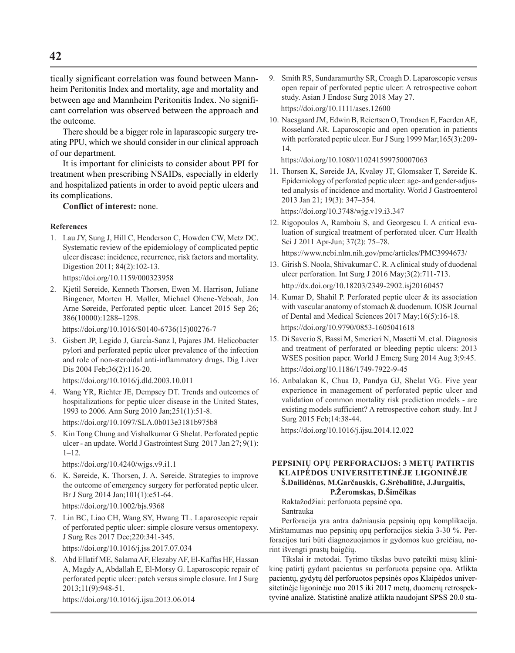tically significant correlation was found between Mannheim Peritonitis Index and mortality, age and mortality and between age and Mannheim Peritonitis Index. No significant correlation was observed between the approach and the outcome.

There should be a bigger role in laparascopic surgery treating PPU, which we should consider in our clinical approach of our department.

It is important for clinicists to consider about PPI for treatment when prescribing NSAIDs, especially in elderly and hospitalized patients in order to avoid peptic ulcers and its complications.

**Conflict of interest:** none.

#### **References**

1. Lau JY, Sung J, Hill C, Henderson C, Howden CW, Metz DC. Systematic review of the epidemiology of complicated peptic ulcer disease: incidence, recurrence, risk factors and mortality. Digestion 2011; 84(2):102-13.

https://doi.org/10.1159/000323958

2. Kjetil Søreide, Kenneth Thorsen, Ewen M. Harrison, Juliane Bingener, Morten H. Møller, Michael Ohene-Yeboah, Jon Arne Søreide, Perforated peptic ulcer. Lancet 2015 Sep 26; 386(10000):1288–1298.

https://doi.org/10.1016/S0140-6736(15)00276-7

3. Gisbert JP, Legido J, García-Sanz I, Pajares JM. Helicobacter pylori and perforated peptic ulcer prevalence of the infection and role of non-steroidal anti-inflammatory drugs. Dig Liver Dis 2004 Feb;36(2):116-20.

https://doi.org/10.1016/j.dld.2003.10.011

- 4. Wang YR, Richter JE, Dempsey DT. Trends and outcomes of hospitalizations for peptic ulcer disease in the United States, 1993 to 2006. Ann Surg 2010 Jan;251(1):51-8. https://doi.org/10.1097/SLA.0b013e3181b975b8
- 5. Kin Tong Chung and Vishalkumar G Shelat. Perforated peptic ulcer - an update. World J Gastrointest Surg 2017 Jan 27; 9(1): 1–12.

https://doi.org/10.4240/wjgs.v9.i1.1

- 6. K. Søreide, K. Thorsen, J. A. Søreide. Strategies to improve the outcome of emergency surgery for perforated peptic ulcer. Br J Surg 2014 Jan;101(1):e51-64. https://doi.org/10.1002/bjs.9368
- 7. Lin BC, Liao CH, Wang SY, Hwang TL. Laparoscopic repair of perforated peptic ulcer: simple closure versus omentopexy. J Surg Res 2017 Dec;220:341-345.

https://doi.org/10.1016/j.jss.2017.07.034

8. Abd Ellatif ME, Salama AF, Elezaby AF, El-Kaffas HF, Hassan A, Magdy A, Abdallah E, El-Morsy G. Laparoscopic repair of perforated peptic ulcer: patch versus simple closure. Int J Surg 2013;11(9):948-51.

https://doi.org/10.1016/j.ijsu.2013.06.014

- 9. Smith RS, Sundaramurthy SR, Croagh D. Laparoscopic versus open repair of perforated peptic ulcer: A retrospective cohort study. Asian J Endosc Surg 2018 May 27. https://doi.org/10.1111/ases.12600
- 10. Naesgaard JM, Edwin B, Reiertsen O, Trondsen E, Faerden AE, Rosseland AR. Laparoscopic and open operation in patients with perforated peptic ulcer. Eur J Surg 1999 Mar;165(3):209- 14.

https://doi.org/10.1080/110241599750007063

11. Thorsen K, Søreide JA, Kvaløy JT, Glomsaker T, Søreide K. Epidemiology of perforated peptic ulcer: age- and gender-adjusted analysis of incidence and mortality. World J Gastroenterol 2013 Jan 21; 19(3): 347–354.

https://doi.org/10.3748/wjg.v19.i3.347

12. Rigopoulos A, Ramboiu S, and Georgescu I. A critical evaluation of surgical treatment of perforated ulcer. Curr Health Sci J 2011 Apr-Jun; 37(2): 75–78.

https://www.ncbi.nlm.nih.gov/pmc/articles/PMC3994673/

- 13. Girish S. Noola, Shivakumar C. R. A clinical study of duodenal ulcer perforation. Int Surg J 2016 May;3(2):711-713. http://dx.doi.org/10.18203/2349-2902.isj20160457
- 14. Kumar D, Shahil P. Perforated peptic ulcer & its association with vascular anatomy of stomach & duodenum. IOSR Journal of Dental and Medical Sciences 2017 May;16(5):16-18. https://doi.org/10.9790/0853-1605041618
- 15. Di Saverio S, Bassi M, Smerieri N, Masetti M. et al. Diagnosis and treatment of perforated or bleeding peptic ulcers: 2013 WSES position paper. World J Emerg Surg 2014 Aug 3;9:45. https://doi.org/10.1186/1749-7922-9-45
- 16. Anbalakan K, Chua D, Pandya GJ, Shelat VG. Five year experience in management of perforated peptic ulcer and validation of common mortality risk prediction models - are existing models sufficient? A retrospective cohort study. Int J Surg 2015 Feb;14:38-44.

https://doi.org/10.1016/j.ijsu.2014.12.022

#### **PEPSINIŲ OPŲ PERFORACIJOS: 3 METŲ PATIRTIS KLAIPĖDOS UNIVERSITETINĖJE LIGONINĖJE Š.Dailidėnas, M.Garčauskis, G.Srėbaliūtė, J.Jurgaitis, P.Žeromskas, D.Šimčikas**

Raktažodžiai: perforuota pepsinė opa. Santrauka

Perforacija yra antra dažniausia pepsinių opų komplikacija. Mirštamumas nuo pepsinių opų perforacijos siekia 3-30 %. Perforacijos turi būti diagnozuojamos ir gydomos kuo greičiau, norint išvengti prastų baigčių.

Tikslai ir metodai. Tyrimo tikslas buvo pateikti mūsų klinikinę patirtį gydant pacientus su perforuota pepsine opa. Atlikta pacientų, gydytų dėl perforuotos pepsinės opos Klaipėdos universitetinėje ligoninėje nuo 2015 iki 2017 metų, duomenų retrospektyvinė analizė. Statistinė analizė atlikta naudojant SPSS 20.0 sta